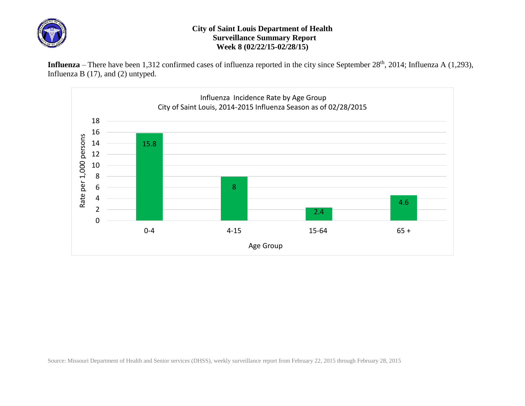

## **City of Saint Louis Department of Health Surveillance Summary Report Week 8 (02/22/15-02/28/15)**

Influenza – There have been 1,312 confirmed cases of influenza reported in the city since September 28<sup>th</sup>, 2014; Influenza A (1,293), Influenza B (17), and (2) untyped.